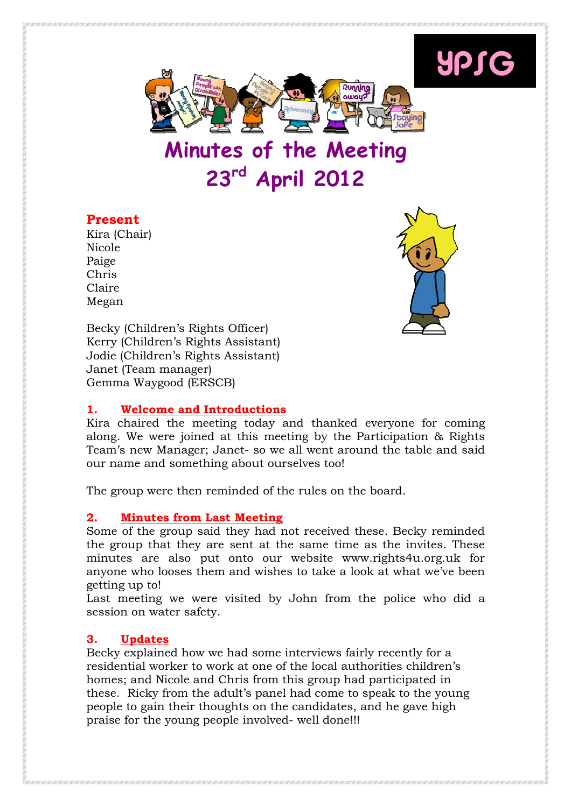

Minutes of the Meeting 23rd April 2012

## Present

Kira (Chair) Nicole Paige Chris Claire Megan



YPSG

Becky (Children's Rights Officer) Kerry (Children's Rights Assistant) Jodie (Children's Rights Assistant) Janet (Team manager) Gemma Waygood (ERSCB)

## 1. Welcome and Introductions

Kira chaired the meeting today and thanked everyone for coming along. We were joined at this meeting by the Participation & Rights Team's new Manager; Janet- so we all went around the table and said our name and something about ourselves too!

The group were then reminded of the rules on the board.

## 2. Minutes from Last Meeting

Some of the group said they had not received these. Becky reminded the group that they are sent at the same time as the invites. These minutes are also put onto our website www.rights4u.org.uk for anyone who looses them and wishes to take a look at what we've been getting up to!

Last meeting we were visited by John from the police who did a session on water safety.

# 3. Updates

Becky explained how we had some interviews fairly recently for a residential worker to work at one of the local authorities children's homes; and Nicole and Chris from this group had participated in these. Ricky from the adult's panel had come to speak to the young people to gain their thoughts on the candidates, and he gave high praise for the young people involved- well done!!!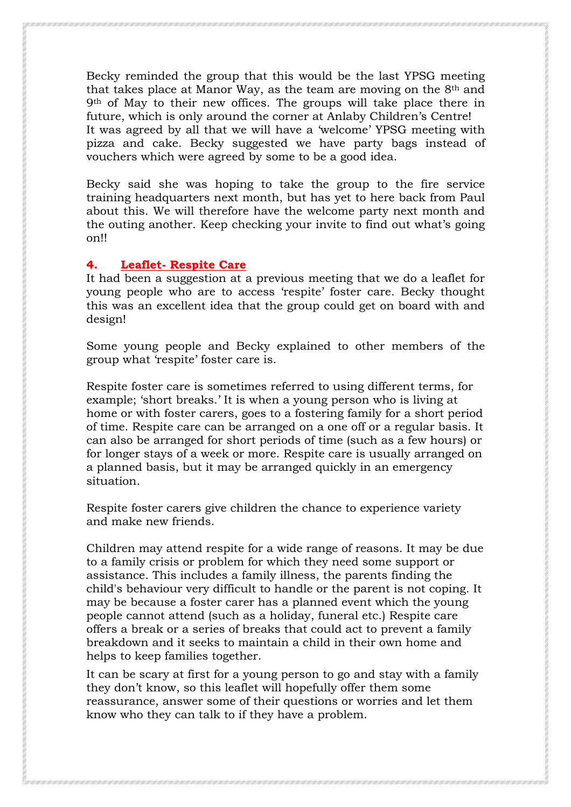Becky reminded the group that this would be the last YPSG meeting that takes place at Manor Way, as the team are moving on the 8th and 9th of May to their new offices. The groups will take place there in future, which is only around the corner at Anlaby Children's Centre! It was agreed by all that we will have a 'welcome' YPSG meeting with pizza and cake. Becky suggested we have party bags instead of vouchers which were agreed by some to be a good idea.

Becky said she was hoping to take the group to the fire service training headquarters next month, but has yet to here back from Paul about this. We will therefore have the welcome party next month and the outing another. Keep checking your invite to find out what's going on!!

### 4. Leaflet- Respite Care

It had been a suggestion at a previous meeting that we do a leaflet for young people who are to access 'respite' foster care. Becky thought this was an excellent idea that the group could get on board with and design!

Some young people and Becky explained to other members of the group what 'respite' foster care is.

Respite foster care is sometimes referred to using different terms, for example; 'short breaks.' It is when a young person who is living at home or with foster carers, goes to a fostering family for a short period of time. Respite care can be arranged on a one off or a regular basis. It can also be arranged for short periods of time (such as a few hours) or for longer stays of a week or more. Respite care is usually arranged on a planned basis, but it may be arranged quickly in an emergency situation.

Respite foster carers give children the chance to experience variety and make new friends.

Children may attend respite for a wide range of reasons. It may be due to a family crisis or problem for which they need some support or assistance. This includes a family illness, the parents finding the child's behaviour very difficult to handle or the parent is not coping. It may be because a foster carer has a planned event which the young people cannot attend (such as a holiday, funeral etc.) Respite care offers a break or a series of breaks that could act to prevent a family breakdown and it seeks to maintain a child in their own home and helps to keep families together.

It can be scary at first for a young person to go and stay with a family they don't know, so this leaflet will hopefully offer them some reassurance, answer some of their questions or worries and let them know who they can talk to if they have a problem.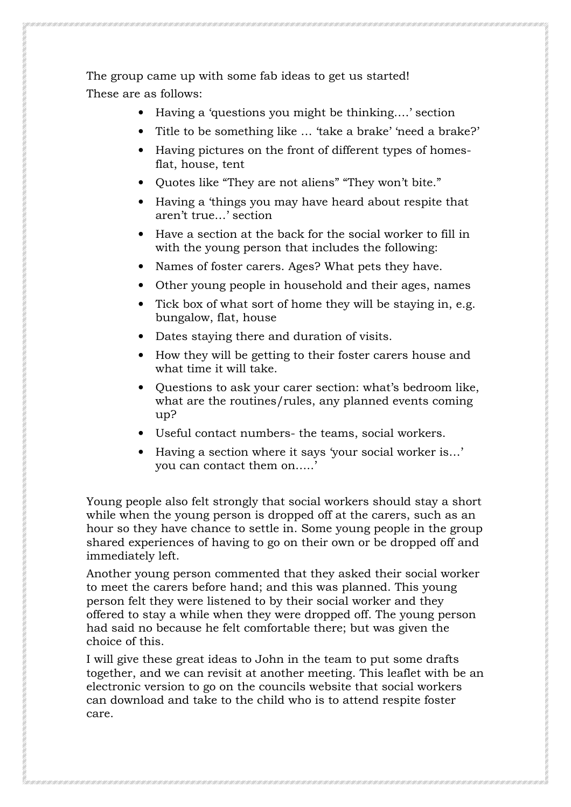The group came up with some fab ideas to get us started! These are as follows:

- Having a 'questions you might be thinking....' section
- Title to be something like ... 'take a brake' 'need a brake?'
- Having pictures on the front of different types of homesflat, house, tent
- Quotes like "They are not aliens" "They won't bite."
- Having a 'things you may have heard about respite that aren't true…' section
- Have a section at the back for the social worker to fill in with the young person that includes the following:
- Names of foster carers. Ages? What pets they have.
- Other young people in household and their ages, names
- Tick box of what sort of home they will be staving in, e.g. bungalow, flat, house
- Dates staying there and duration of visits.
- How they will be getting to their foster carers house and what time it will take.
- Questions to ask your carer section: what's bedroom like, what are the routines/rules, any planned events coming up?
- Useful contact numbers- the teams, social workers.
- Having a section where it says 'your social worker is…' you can contact them on…..'

Young people also felt strongly that social workers should stay a short while when the young person is dropped off at the carers, such as an hour so they have chance to settle in. Some young people in the group shared experiences of having to go on their own or be dropped off and immediately left.

Another young person commented that they asked their social worker to meet the carers before hand; and this was planned. This young person felt they were listened to by their social worker and they offered to stay a while when they were dropped off. The young person had said no because he felt comfortable there; but was given the choice of this.

I will give these great ideas to John in the team to put some drafts together, and we can revisit at another meeting. This leaflet with be an electronic version to go on the councils website that social workers can download and take to the child who is to attend respite foster care.